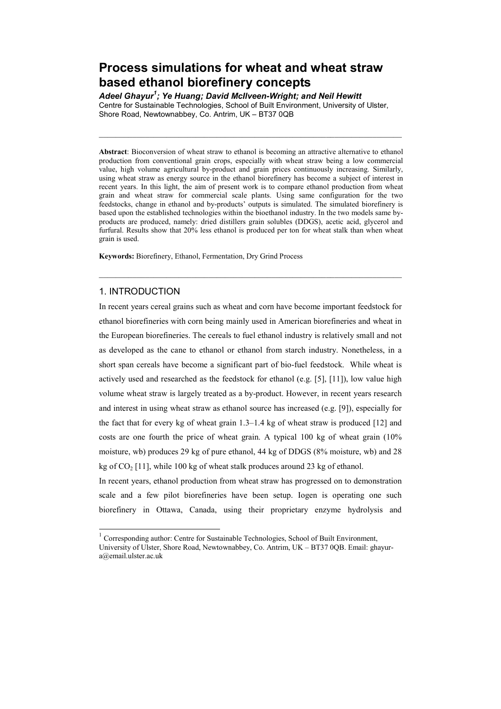# Process simulations for wheat and wheat straw based ethanol biorefinery concepts

Adeel Ghayur<sup>1</sup>; Ye Huang; David McIlveen-Wright; and Neil Hewitt Centre for Sustainable Technologies, School of Built Environment, University of Ulster, Shore Road, Newtownabbey, Co. Antrim, UK – BT37 0QB

 $\_$  , and the set of the set of the set of the set of the set of the set of the set of the set of the set of the set of the set of the set of the set of the set of the set of the set of the set of the set of the set of th

Abstract: Bioconversion of wheat straw to ethanol is becoming an attractive alternative to ethanol production from conventional grain crops, especially with wheat straw being a low commercial value, high volume agricultural by-product and grain prices continuously increasing. Similarly, using wheat straw as energy source in the ethanol biorefinery has become a subject of interest in recent years. In this light, the aim of present work is to compare ethanol production from wheat grain and wheat straw for commercial scale plants. Using same configuration for the two feedstocks, change in ethanol and by-products' outputs is simulated. The simulated biorefinery is based upon the established technologies within the bioethanol industry. In the two models same byproducts are produced, namely: dried distillers grain solubles (DDGS), acetic acid, glycerol and furfural. Results show that 20% less ethanol is produced per ton for wheat stalk than when wheat grain is used.

 $\_$  , and the set of the set of the set of the set of the set of the set of the set of the set of the set of the set of the set of the set of the set of the set of the set of the set of the set of the set of the set of th

Keywords: Biorefinery, Ethanol, Fermentation, Dry Grind Process

## 1. INTRODUCTION

In recent years cereal grains such as wheat and corn have become important feedstock for ethanol biorefineries with corn being mainly used in American biorefineries and wheat in the European biorefineries. The cereals to fuel ethanol industry is relatively small and not as developed as the cane to ethanol or ethanol from starch industry. Nonetheless, in a short span cereals have become a significant part of bio-fuel feedstock. While wheat is actively used and researched as the feedstock for ethanol (e.g.  $[5]$ ,  $[11]$ ), low value high volume wheat straw is largely treated as a by-product. However, in recent years research and interest in using wheat straw as ethanol source has increased (e.g. [9]), especially for the fact that for every kg of wheat grain  $1.3-1.4$  kg of wheat straw is produced  $[12]$  and costs are one fourth the price of wheat grain. A typical 100 kg of wheat grain (10% moisture, wb) produces 29 kg of pure ethanol, 44 kg of DDGS (8% moisture, wb) and 28 kg of  $CO<sub>2</sub>$  [11], while 100 kg of wheat stalk produces around 23 kg of ethanol.

In recent years, ethanol production from wheat straw has progressed on to demonstration scale and a few pilot biorefineries have been setup. Iogen is operating one such biorefinery in Ottawa, Canada, using their proprietary enzyme hydrolysis and

 $1$  Corresponding author: Centre for Sustainable Technologies, School of Built Environment, University of Ulster, Shore Road, Newtownabbey, Co. Antrim, UK – BT37 0QB. Email: ghayur-

a@email.ulster.ac.uk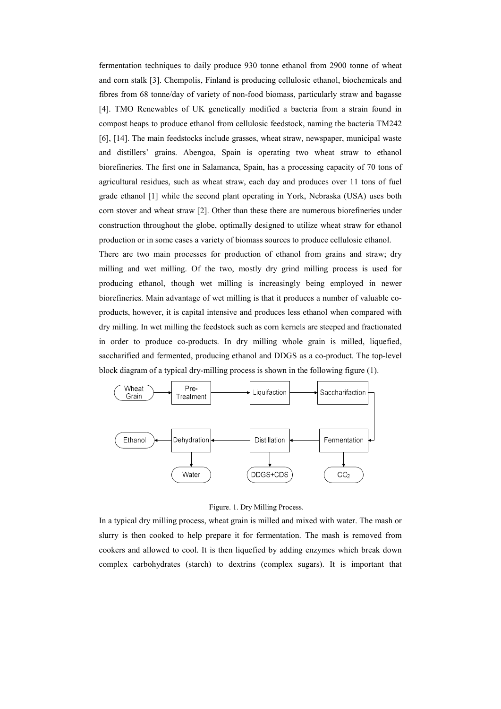fermentation techniques to daily produce 930 tonne ethanol from 2900 tonne of wheat and corn stalk [3]. Chempolis, Finland is producing cellulosic ethanol, biochemicals and fibres from 68 tonne/day of variety of non-food biomass, particularly straw and bagasse [4]. TMO Renewables of UK genetically modified a bacteria from a strain found in compost heaps to produce ethanol from cellulosic feedstock, naming the bacteria TM242 [6], [14]. The main feedstocks include grasses, wheat straw, newspaper, municipal waste and distillers' grains. Abengoa, Spain is operating two wheat straw to ethanol biorefineries. The first one in Salamanca, Spain, has a processing capacity of 70 tons of agricultural residues, such as wheat straw, each day and produces over 11 tons of fuel grade ethanol [1] while the second plant operating in York, Nebraska (USA) uses both corn stover and wheat straw [2]. Other than these there are numerous biorefineries under construction throughout the globe, optimally designed to utilize wheat straw for ethanol production or in some cases a variety of biomass sources to produce cellulosic ethanol.

There are two main processes for production of ethanol from grains and straw; dry milling and wet milling. Of the two, mostly dry grind milling process is used for producing ethanol, though wet milling is increasingly being employed in newer biorefineries. Main advantage of wet milling is that it produces a number of valuable coproducts, however, it is capital intensive and produces less ethanol when compared with dry milling. In wet milling the feedstock such as corn kernels are steeped and fractionated in order to produce co-products. In dry milling whole grain is milled, liquefied, saccharified and fermented, producing ethanol and DDGS as a co-product. The top-level block diagram of a typical dry-milling process is shown in the following figure (1).



Figure. 1. Dry Milling Process.

In a typical dry milling process, wheat grain is milled and mixed with water. The mash or slurry is then cooked to help prepare it for fermentation. The mash is removed from cookers and allowed to cool. It is then liquefied by adding enzymes which break down complex carbohydrates (starch) to dextrins (complex sugars). It is important that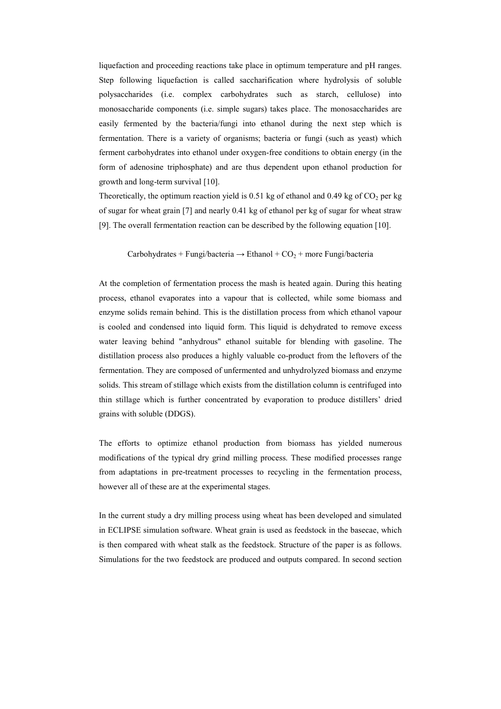liquefaction and proceeding reactions take place in optimum temperature and pH ranges. Step following liquefaction is called saccharification where hydrolysis of soluble polysaccharides (i.e. complex carbohydrates such as starch, cellulose) into monosaccharide components (i.e. simple sugars) takes place. The monosaccharides are easily fermented by the bacteria/fungi into ethanol during the next step which is fermentation. There is a variety of organisms; bacteria or fungi (such as yeast) which ferment carbohydrates into ethanol under oxygen-free conditions to obtain energy (in the form of adenosine triphosphate) and are thus dependent upon ethanol production for growth and long-term survival [10].

Theoretically, the optimum reaction yield is 0.51 kg of ethanol and 0.49 kg of  $CO<sub>2</sub>$  per kg of sugar for wheat grain [7] and nearly 0.41 kg of ethanol per kg of sugar for wheat straw [9]. The overall fermentation reaction can be described by the following equation [10].

#### Carbohydrates + Fungi/bacteria  $\rightarrow$  Ethanol + CO<sub>2</sub> + more Fungi/bacteria

At the completion of fermentation process the mash is heated again. During this heating process, ethanol evaporates into a vapour that is collected, while some biomass and enzyme solids remain behind. This is the distillation process from which ethanol vapour is cooled and condensed into liquid form. This liquid is dehydrated to remove excess water leaving behind "anhydrous" ethanol suitable for blending with gasoline. The distillation process also produces a highly valuable co-product from the leftovers of the fermentation. They are composed of unfermented and unhydrolyzed biomass and enzyme solids. This stream of stillage which exists from the distillation column is centrifuged into thin stillage which is further concentrated by evaporation to produce distillers' dried grains with soluble (DDGS).

The efforts to optimize ethanol production from biomass has yielded numerous modifications of the typical dry grind milling process. These modified processes range from adaptations in pre-treatment processes to recycling in the fermentation process, however all of these are at the experimental stages.

In the current study a dry milling process using wheat has been developed and simulated in ECLIPSE simulation software. Wheat grain is used as feedstock in the basecae, which is then compared with wheat stalk as the feedstock. Structure of the paper is as follows. Simulations for the two feedstock are produced and outputs compared. In second section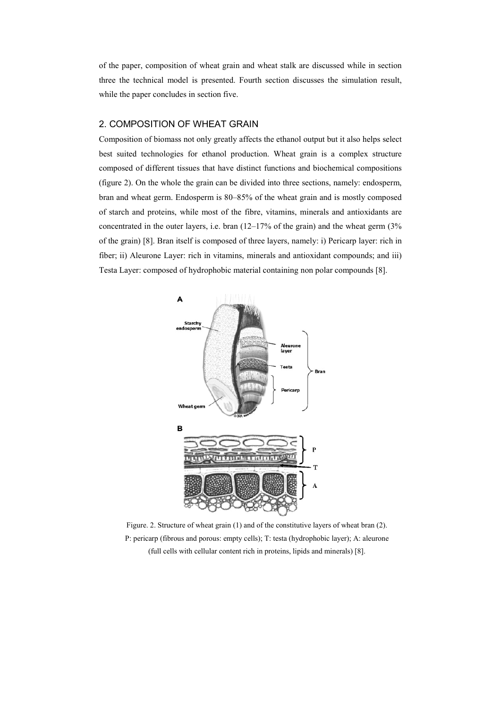of the paper, composition of wheat grain and wheat stalk are discussed while in section three the technical model is presented. Fourth section discusses the simulation result, while the paper concludes in section five.

#### 2. COMPOSITION OF WHEAT GRAIN

Composition of biomass not only greatly affects the ethanol output but it also helps select best suited technologies for ethanol production. Wheat grain is a complex structure composed of different tissues that have distinct functions and biochemical compositions (figure 2). On the whole the grain can be divided into three sections, namely: endosperm, bran and wheat germ. Endosperm is 80–85% of the wheat grain and is mostly composed of starch and proteins, while most of the fibre, vitamins, minerals and antioxidants are concentrated in the outer layers, i.e. bran  $(12-17%$  of the grain) and the wheat germ  $(3%$ of the grain) [8]. Bran itself is composed of three layers, namely: i) Pericarp layer: rich in fiber; ii) Aleurone Layer: rich in vitamins, minerals and antioxidant compounds; and iii) Testa Layer: composed of hydrophobic material containing non polar compounds [8].



Figure. 2. Structure of wheat grain (1) and of the constitutive layers of wheat bran (2). P: pericarp (fibrous and porous: empty cells); T: testa (hydrophobic layer); A: aleurone (full cells with cellular content rich in proteins, lipids and minerals) [8].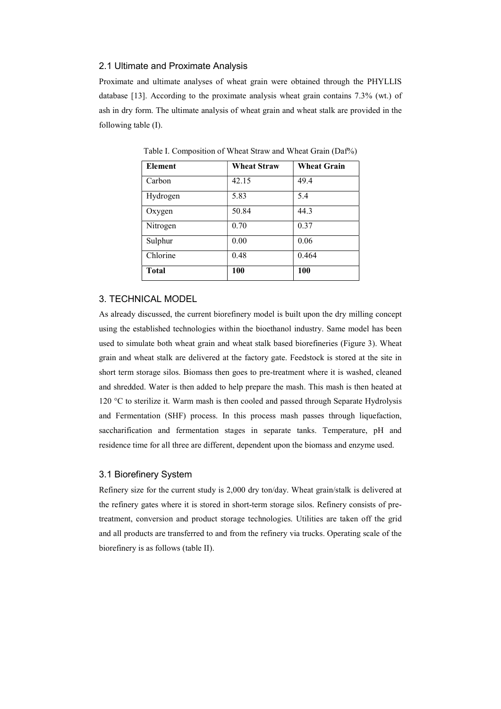#### 2.1 Ultimate and Proximate Analysis

Proximate and ultimate analyses of wheat grain were obtained through the PHYLLIS database [13]. According to the proximate analysis wheat grain contains 7.3% (wt.) of ash in dry form. The ultimate analysis of wheat grain and wheat stalk are provided in the following table (I).

| <b>Element</b> | <b>Wheat Straw</b> | <b>Wheat Grain</b> |
|----------------|--------------------|--------------------|
| Carbon         | 42.15              | 49.4               |
| Hydrogen       | 5.83               | 5.4                |
| Oxygen         | 50.84              | 44.3               |
| Nitrogen       | 0.70               | 0.37               |
| Sulphur        | 0.00               | 0.06               |
| Chlorine       | 0.48               | 0.464              |
| <b>Total</b>   | 100                | 100                |

Table I. Composition of Wheat Straw and Wheat Grain (Daf%)

## 3. TECHNICAL MODEL

As already discussed, the current biorefinery model is built upon the dry milling concept using the established technologies within the bioethanol industry. Same model has been used to simulate both wheat grain and wheat stalk based biorefineries (Figure 3). Wheat grain and wheat stalk are delivered at the factory gate. Feedstock is stored at the site in short term storage silos. Biomass then goes to pre-treatment where it is washed, cleaned and shredded. Water is then added to help prepare the mash. This mash is then heated at 120 °C to sterilize it. Warm mash is then cooled and passed through Separate Hydrolysis and Fermentation (SHF) process. In this process mash passes through liquefaction, saccharification and fermentation stages in separate tanks. Temperature, pH and residence time for all three are different, dependent upon the biomass and enzyme used.

#### 3.1 Biorefinery System

Refinery size for the current study is 2,000 dry ton/day. Wheat grain/stalk is delivered at the refinery gates where it is stored in short-term storage silos. Refinery consists of pretreatment, conversion and product storage technologies. Utilities are taken off the grid and all products are transferred to and from the refinery via trucks. Operating scale of the biorefinery is as follows (table II).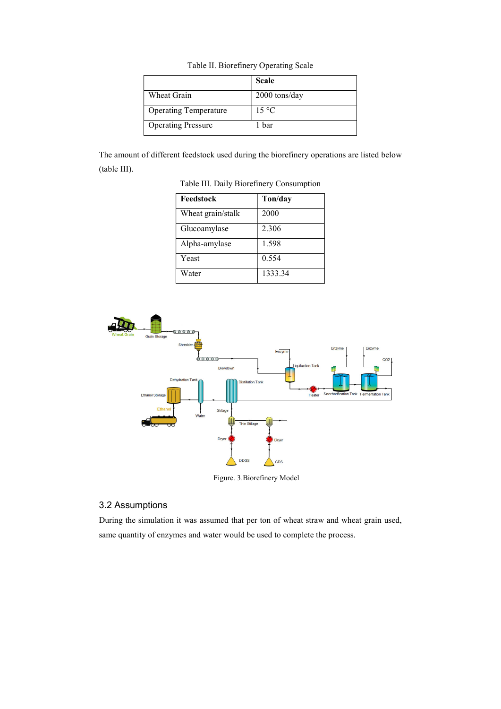| Table II. Biorefinery Operating Scale |  |
|---------------------------------------|--|
|                                       |  |

|                              | <b>Scale</b>    |
|------------------------------|-----------------|
| Wheat Grain                  | $2000$ tons/day |
| <b>Operating Temperature</b> | $15^{\circ}$ C  |
| <b>Operating Pressure</b>    | 1 bar           |

The amount of different feedstock used during the biorefinery operations are listed below (table III).

| Feedstock         | Ton/day |
|-------------------|---------|
| Wheat grain/stalk | 2000    |
| Glucoamylase      | 2.306   |
| Alpha-amylase     | 1.598   |
| Yeast             | 0.554   |
| Water             | 1333.34 |

Table III. Daily Biorefinery Consumption



### Figure. 3.Biorefinery Model

## 3.2 Assumptions

During the simulation it was assumed that per ton of wheat straw and wheat grain used, same quantity of enzymes and water would be used to complete the process.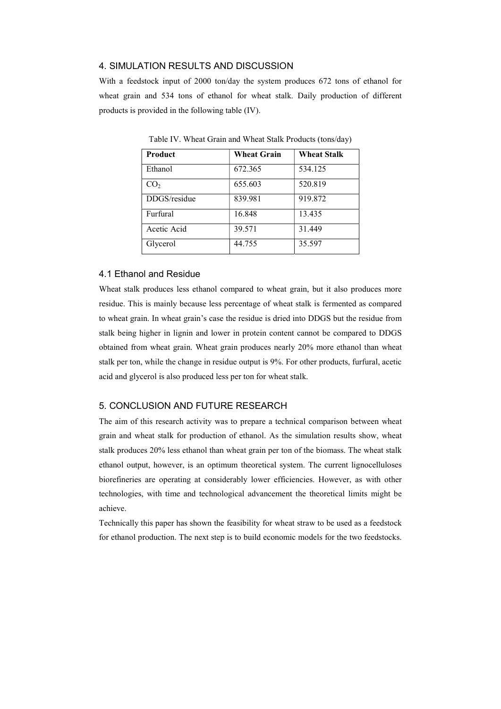### 4. SIMULATION RESULTS AND DISCUSSION

With a feedstock input of 2000 ton/day the system produces 672 tons of ethanol for wheat grain and 534 tons of ethanol for wheat stalk. Daily production of different products is provided in the following table (IV).

| <b>Product</b>  | <b>Wheat Grain</b> | <b>Wheat Stalk</b> |
|-----------------|--------------------|--------------------|
| Ethanol         | 672.365            | 534.125            |
| CO <sub>2</sub> | 655.603            | 520.819            |
| DDGS/residue    | 839.981            | 919.872            |
| Furfural        | 16.848             | 13.435             |
| Acetic Acid     | 39.571             | 31.449             |
| Glycerol        | 44.755             | 35.597             |

Table IV. Wheat Grain and Wheat Stalk Products (tons/day)

#### 4.1 Ethanol and Residue

Wheat stalk produces less ethanol compared to wheat grain, but it also produces more residue. This is mainly because less percentage of wheat stalk is fermented as compared to wheat grain. In wheat grain's case the residue is dried into DDGS but the residue from stalk being higher in lignin and lower in protein content cannot be compared to DDGS obtained from wheat grain. Wheat grain produces nearly 20% more ethanol than wheat stalk per ton, while the change in residue output is 9%. For other products, furfural, acetic acid and glycerol is also produced less per ton for wheat stalk.

### 5. CONCLUSION AND FUTURE RESEARCH

The aim of this research activity was to prepare a technical comparison between wheat grain and wheat stalk for production of ethanol. As the simulation results show, wheat stalk produces 20% less ethanol than wheat grain per ton of the biomass. The wheat stalk ethanol output, however, is an optimum theoretical system. The current lignocelluloses biorefineries are operating at considerably lower efficiencies. However, as with other technologies, with time and technological advancement the theoretical limits might be achieve.

Technically this paper has shown the feasibility for wheat straw to be used as a feedstock for ethanol production. The next step is to build economic models for the two feedstocks.